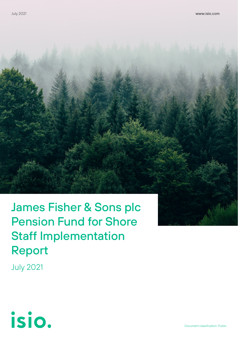James Fisher & Sons plc Pension Fund for Shore Staff Implementation Report

July 2021

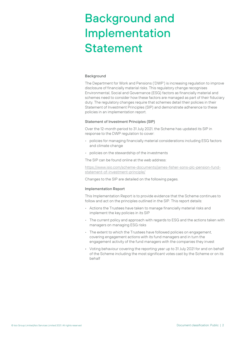# Background and Implementation Statement

### **Background**

The Department for Work and Pensions ('DWP') is increasing regulation to improve disclosure of financially material risks. This regulatory change recognises Environmental, Social and Governance (ESG) factors as financially material and schemes need to consider how these factors are managed as part of their fiduciary duty. The regulatory changes require that schemes detail their policies in their Statement of Investment Principles (SIP) and demonstrate adherence to these policies in an implementation report.

### Statement of Investment Principles (SIP)

Over the 12-month period to 31 July 2021, the Scheme has updated its SIP in response to the DWP regulation to cover:

- policies for managing financially material considerations including ESG factors and climate change
- policies on the stewardship of the investments

The SIP can be found online at the web address:

[https://www.isio.com/scheme-documents/james-fisher-sons-plc-pension-fund](https://www.isio.com/scheme-documents/james-fisher-sons-plc-pension-fund-statement-of-investment-principle/)[statement-of-investment-principle/](https://www.isio.com/scheme-documents/james-fisher-sons-plc-pension-fund-statement-of-investment-principle/)

Changes to the SIP are detailed on the following pages.

#### Implementation Report

This Implementation Report is to provide evidence that the Scheme continues to follow and act on the principles outlined in the SIP. This report details:

- Actions the Trustees have taken to manage financially material risks and implement the key policies in its SIP
- The current policy and approach with regards to ESG and the actions taken with managers on managing ESG risks
- The extent to which the Trustees have followed policies on engagement, covering engagement actions with its fund managers and in turn the engagement activity of the fund managers with the companies they invest
- Voting behaviour covering the reporting year up to 31 July 2021 for and on behalf of the Scheme including the most significant votes cast by the Scheme or on its behalf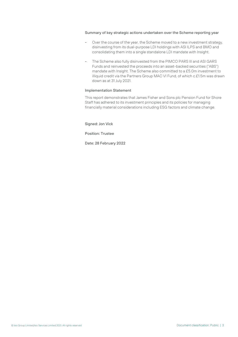### Summary of key strategic actions undertaken over the Scheme reporting year

- Over the course of the year, the Scheme moved to a new investment strategy, disinvesting from its dual-purpose LDI holdings with ASI ILPS and BMO and consolidating them into a single standalone LDI mandate with Insight.
- The Scheme also fully disinvested from the PIMCO PARS III and ASI GARS Funds and reinvested the proceeds into an asset-backed securities ("ABS") mandate with Insight. The Scheme also committed to a £5.0m investment to illiquid credit via the Partners Group MAC VI Fund, of which c.£1.5m was drawn down as at 31 July 2021.

### Implementation Statement

This report demonstrates that James Fisher and Sons plc Pension Fund for Shore Staff has adhered to its investment principles and its policies for managing financially material considerations including ESG factors and climate change.

Signed: Jon Vick

Position: Trustee

Date: 28 February 2022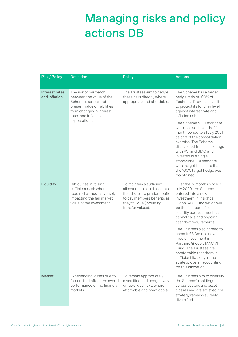## Managing risks and policy actions DB

| <b>Risk / Policy</b>            | <b>Definition</b>                                                                                                                                                           | <b>Policy</b>                                                                                                                                                               | <b>Actions</b>                                                                                                                                                                                                                                                                                                                      |
|---------------------------------|-----------------------------------------------------------------------------------------------------------------------------------------------------------------------------|-----------------------------------------------------------------------------------------------------------------------------------------------------------------------------|-------------------------------------------------------------------------------------------------------------------------------------------------------------------------------------------------------------------------------------------------------------------------------------------------------------------------------------|
| Interest rates<br>and inflation | The risk of mismatch<br>between the value of the<br>Scheme's assets and<br>present value of liabilities<br>from changes in interest<br>rates and inflation<br>expectations. | The Trustees aim to hedge<br>these risks directly where<br>appropriate and affordable.                                                                                      | The Scheme has a target<br>hedge ratio of 100% of<br><b>Technical Provision liabilities</b><br>to protect its funding level<br>against interest rate and<br>inflation risk.                                                                                                                                                         |
|                                 |                                                                                                                                                                             |                                                                                                                                                                             | The Scheme's I DI mandate<br>was reviewed over the 12-<br>month period to 31 July 2021<br>as part of the consolidation<br>exercise. The Scheme<br>disinvested from its holdings<br>with ASI and BMO and<br>invested in a single<br>standalone LDI mandate<br>with Insight to ensure that<br>the 100% target hedge was<br>maintained |
| Liquidity                       | Difficulties in raising<br>sufficient cash when<br>required without adversely<br>impacting the fair market<br>value of the investment.                                      | To maintain a sufficient<br>allocation to liquid assets so<br>that there is a prudent buffer<br>to pay members benefits as<br>they fall due (including<br>transfer values). | Over the 12 months since 31<br>July 2020, the Scheme<br>entered into a new<br>investment in Insight's<br>Global ABS Fund which will<br>be the first port of call for<br>liquidity purposes such as<br>capital calls and ongoing<br>cashflow requirements.                                                                           |
|                                 |                                                                                                                                                                             |                                                                                                                                                                             | The Trustees also agreed to<br>commit £5.0m to a new<br>illiquid investment in<br>Partners Group's MAC VI<br>Fund. The Trustees are<br>comfortable that there is<br>sufficient liquidity in the<br>strategy overall accounting<br>for this allocation.                                                                              |
| Market                          | Experiencing losses due to<br>factors that affect the overall<br>performance of the financial<br>markets.                                                                   | To remain appropriately<br>diversified and hedge away<br>unrewarded risks, where<br>affordable and practicable.                                                             | The Trustees aim to diversify<br>the Scheme's holdings<br>across sectors and asset<br>classes and are satisfied the<br>strategy remains suitably<br>diversified.                                                                                                                                                                    |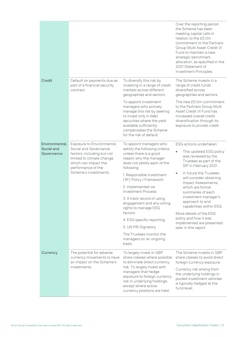|                          |                                                                                                                                                                                        |                                                                                                                                                                                                                       | Over the reporting period<br>the Scheme has been<br>meeting capital calls in<br>relation to the £5.0m<br>commitment to the Partners<br>Group Multi Asset Credit VI<br>Fund to maintain a new<br>strategic benchmark<br>allocation, as specified in the<br>2021 Statement of<br>Investment Principles. |
|--------------------------|----------------------------------------------------------------------------------------------------------------------------------------------------------------------------------------|-----------------------------------------------------------------------------------------------------------------------------------------------------------------------------------------------------------------------|-------------------------------------------------------------------------------------------------------------------------------------------------------------------------------------------------------------------------------------------------------------------------------------------------------|
| Credit                   | Default on payments due as<br>part of a financial security<br>contract.                                                                                                                | To diversify this risk by<br>investing in a range of credit<br>markets across different<br>geographies and sectors.                                                                                                   | The Scheme invests in a<br>range of credit funds<br>diversified across<br>geographies and sectors.                                                                                                                                                                                                    |
|                          |                                                                                                                                                                                        | To appoint investment<br>managers who actively<br>manage this risk by seeking<br>to invest only in debt<br>securities where the yield<br>available sufficiently<br>compensates the Scheme<br>for the risk of default. | The new £5.0m commitment<br>to the Partners Group Multi<br>Asset Credit VI Fund has<br>increased overall credit<br>diversification through its<br>exposure to private credit.                                                                                                                         |
| Environmental,           | Exposure to Environmental,<br>Social and Governance<br>factors, including but not<br>limited to climate change,<br>which can impact the<br>performance of the<br>Scheme's investments. | To appoint managers who<br>satisfy the following criteria,<br>unless there is a good<br>reason why the manager<br>does not satisfy each of the<br>following:                                                          | ESG actions undertaken:                                                                                                                                                                                                                                                                               |
| Social and<br>Governance |                                                                                                                                                                                        |                                                                                                                                                                                                                       | This updated ESG policy<br>was reviewed by the<br>Trustees as part of the<br>SIP in February 2021.                                                                                                                                                                                                    |
|                          |                                                                                                                                                                                        | 1. Responsible Investment<br>('RI') Policy / Framework                                                                                                                                                                | In future the Trustees<br>will consider obtaining<br>Impact Assessments,                                                                                                                                                                                                                              |
|                          |                                                                                                                                                                                        | 2. Implemented via<br><b>Investment Process</b>                                                                                                                                                                       | which are formal<br>summaries of each                                                                                                                                                                                                                                                                 |
|                          |                                                                                                                                                                                        | 3. A track record of using<br>engagement and any voting<br>rights to manage ESG                                                                                                                                       | investment manager's<br>approach to and<br>capabilities within ESG.                                                                                                                                                                                                                                   |
|                          |                                                                                                                                                                                        | factors                                                                                                                                                                                                               | More details of the ESG<br>policy and how it was                                                                                                                                                                                                                                                      |
|                          |                                                                                                                                                                                        | 4. ESG specific reporting<br>5. UN PRI Signatory                                                                                                                                                                      | implemented are presented                                                                                                                                                                                                                                                                             |
|                          |                                                                                                                                                                                        | The Trustees monitor the                                                                                                                                                                                              | later in this report.                                                                                                                                                                                                                                                                                 |
|                          |                                                                                                                                                                                        | managers on an ongoing<br>basis.                                                                                                                                                                                      |                                                                                                                                                                                                                                                                                                       |
| Currency                 | The potential for adverse<br>currency movements to have<br>an impact on the Scheme's                                                                                                   | To largely invest in GBP<br>share classes where possible<br>to eliminate direct currency                                                                                                                              | The Scheme invests in GBP<br>share classes to avoid direct<br>foreign currency exposure.                                                                                                                                                                                                              |
|                          | investments.                                                                                                                                                                           | risk. To largely invest with<br>managers that hedge<br>exposure to foreign currency<br>risk in underlying holdings,<br>except where active<br>currency positions are held.                                            | Currency risk arising from<br>the underlying holdings in<br>pooled investment vehicles<br>is typically hedged at the<br>fund level.                                                                                                                                                                   |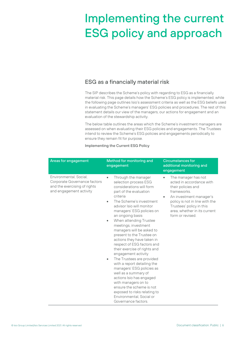# Implementing the current ESG policy and approach

### ESG as a financially material risk

The SIP describes the Scheme's policy with regarding to ESG as a financially material risk. This page details how the Scheme's ESG policy is implemented, while the following page outlines Isio's assessment criteria as well as the ESG beliefs used in evaluating the Scheme's managers' ESG policies and procedures. The rest of this statement details our view of the managers, our actions for engagement and an evaluation of the stewardship activity.

The below table outlines the areas which the Scheme's investment managers are assessed on when evaluating their ESG policies and engagements. The Trustees intend to review the Scheme's ESG policies and engagements periodically to ensure they remain fit for purpose.

| Implementing the Current ESG Policy |  |  |
|-------------------------------------|--|--|
|                                     |  |  |

| Areas for engagement                                                                                              | Method for monitoring and<br>engagement                                                                                                                                                                                                                                                                                                                                                                                                                                                                                                                                                                                                                                                                                                                                               | <b>Circumstances for</b><br>additional monitoring and<br>engagement                                                                                                                                                               |
|-------------------------------------------------------------------------------------------------------------------|---------------------------------------------------------------------------------------------------------------------------------------------------------------------------------------------------------------------------------------------------------------------------------------------------------------------------------------------------------------------------------------------------------------------------------------------------------------------------------------------------------------------------------------------------------------------------------------------------------------------------------------------------------------------------------------------------------------------------------------------------------------------------------------|-----------------------------------------------------------------------------------------------------------------------------------------------------------------------------------------------------------------------------------|
| Environmental, Social,<br>Corporate Governance factors<br>and the exercising of rights<br>and engagement activity | Through the manager<br>$\bullet$<br>selection process ESG<br>considerations will form<br>part of the evaluation<br>criteria<br>The Scheme's investment<br>$\bullet$<br>advisor Isio will monitor<br>managers' ESG policies on<br>an ongoing basis<br>When attending Trustee<br>٠<br>meetings, investment<br>managers will be asked to<br>present to the Trustee on<br>actions they have taken in<br>respect of ESG factors and<br>their exercise of rights and<br>engagement activity<br>The Trustees are provided<br>$\bullet$<br>with a report detailing the<br>managers' ESG policies as<br>well as a summary of<br>actions Isio has engaged<br>with managers on to<br>ensure the scheme is not<br>exposed to risks relating to<br>Environmental, Social or<br>Governance factors. | The manager has not<br>acted in accordance with<br>their policies and<br>frameworks.<br>An investment manager's<br>policy is not in line with the<br>Trustees' policy in this<br>area, whether in its current<br>form or revised. |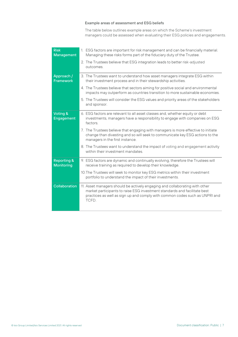### Example areas of assessment and ESG beliefs

The table below outlines example areas on which the Scheme's investment managers could be assessed when evaluating their ESG policies and engagements.

| <b>Risk</b><br><b>Management</b>            | 1. ESG factors are important for risk management and can be financially material.<br>Managing these risks forms part of the fiduciary duty of the Trustee.                                                                                       |
|---------------------------------------------|--------------------------------------------------------------------------------------------------------------------------------------------------------------------------------------------------------------------------------------------------|
|                                             | 2. The Trustees believe that ESG integration leads to better risk-adjusted<br>outcomes.                                                                                                                                                          |
| Approach /<br><b>Framework</b>              | 3. The Trustees want to understand how asset managers integrate ESG within<br>their investment process and in their stewardship activities.                                                                                                      |
|                                             | 4. The Trustees believe that sectors aiming for positive social and environmental<br>impacts may outperform as countries transition to more sustainable economies.                                                                               |
|                                             | 5. The Trustees will consider the ESG values and priority areas of the stakeholders<br>and sponsor.                                                                                                                                              |
| Voting &<br><b>Engagement</b>               | 6. ESG factors are relevant to all asset classes and, whether equity or debt<br>investments, managers have a responsibility to engage with companies on ESG<br>factors.                                                                          |
|                                             | 7. The Trustees believe that engaging with managers is more effective to initiate<br>change than divesting and so will seek to communicate key ESG actions to the<br>managers in the first instance.                                             |
|                                             | 8. The Trustees want to understand the impact of voting and engagement activity<br>within their investment mandates.                                                                                                                             |
| <b>Reporting &amp;</b><br><b>Monitoring</b> | 9. ESG factors are dynamic and continually evolving, therefore the Trustees will<br>receive training as required to develop their knowledge.                                                                                                     |
|                                             | 10. The Trustees will seek to monitor key ESG metrics within their investment<br>portfolio to understand the impact of their investments.                                                                                                        |
| Collaboration                               | 11. Asset managers should be actively engaging and collaborating with other<br>market participants to raise ESG investment standards and facilitate best<br>practices as well as sign up and comply with common codes such as UNPRI and<br>TCFD. |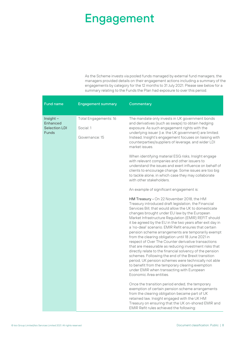### Engagement

As the Scheme invests via pooled funds managed by external fund managers, the managers provided details on their engagement actions including a summary of the engagements by category for the 12 months to 31 July 2021. Please see below for a summary relating to the Funds the Plan had exposure to over this period.

| <b>Fund name</b>                                                     | <b>Engagement summary</b>                            | Commentary                                                                                                                                                                                                                                                                                                                                                                                                                                                                                                                                                                                                                                                                                                                                                                                                                                                                                                                  |
|----------------------------------------------------------------------|------------------------------------------------------|-----------------------------------------------------------------------------------------------------------------------------------------------------------------------------------------------------------------------------------------------------------------------------------------------------------------------------------------------------------------------------------------------------------------------------------------------------------------------------------------------------------------------------------------------------------------------------------------------------------------------------------------------------------------------------------------------------------------------------------------------------------------------------------------------------------------------------------------------------------------------------------------------------------------------------|
| Insight -<br><b>Enhanced</b><br><b>Selection LDI</b><br><b>Funds</b> | Total Engagements: 16<br>Social: 1<br>Governance: 15 | The mandate only invests in UK government bonds<br>and derivatives (such as swaps) to obtain hedging<br>exposure. As such engagement rights with the<br>underlying issuer (i.e. the UK government) are limited.<br>Instead, Insight's engagement focuses on liaising with<br>counterparties/suppliers of leverage, and wider LDI<br>market issues.<br>When identifying material ESG risks, Insight engage                                                                                                                                                                                                                                                                                                                                                                                                                                                                                                                   |
|                                                                      |                                                      | with relevant companies and other issuers to<br>understand the issues and exert influence on behalf of<br>clients to encourage change. Some issues are too big<br>to tackle alone, in which case they may collaborate<br>with other stakeholders.                                                                                                                                                                                                                                                                                                                                                                                                                                                                                                                                                                                                                                                                           |
|                                                                      |                                                      | An example of significant engagement is:                                                                                                                                                                                                                                                                                                                                                                                                                                                                                                                                                                                                                                                                                                                                                                                                                                                                                    |
|                                                                      |                                                      | HM Treasury - On 22 November 2018, the HM<br>Treasury introduced draft legislation, the Financial<br>Services Bill, that would allow the UK to domesticate<br>changes brought under EU law by the European<br>Market Infrastructure Regulation (EMIR) REFIT should<br>it be agreed by the EU in the two years after exit day in<br>a 'no-deal' scenario. EMIR Refit ensures that certain<br>pension scheme arrangements are temporarily exempt<br>from the clearing obligation until 18 June 2021 in<br>respect of Over The Counter derivative transactions<br>that are measurable as reducing investment risks that<br>directly relate to the financial solvency of the pension<br>schemes. Following the end of the Brexit transition<br>period, UK pension schemes were technically not able<br>to benefit from the temporary clearing exemption<br>under EMIR when transacting with European<br>Economic Area entities. |
|                                                                      |                                                      | Once the transition period ended, the temporary<br>exemption of certain pension scheme arrangements<br>from the clearing obligation became part of UK<br>retained law. Insight engaged with the UK HM<br>Treasury on ensuring that the UK on-shored EMIR and<br>EMIR Refit rules achieved the following:                                                                                                                                                                                                                                                                                                                                                                                                                                                                                                                                                                                                                    |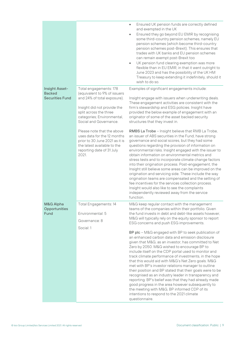|                                                                  |                                                                                                                                                                                                        | Ensured UK pension funds are correctly defined<br>$\bullet$<br>and exempted in the UK<br>Ensured they go beyond EU EMIR by recognising<br>$\bullet$<br>some third-country pension schemes, namely EU<br>pension schemes (which become third-country<br>pension schemes post-Brexit). This ensures that<br>trades with UK banks and EU pension schemes<br>can remain exempt post-Brexit too<br>UK pension fund clearing exemption was more<br>$\bullet$<br>flexible than in EU EMIR, in that it went outright to<br>June 2023 and has the possibility of the UK HM<br>Treasury to keep extending it indefinitely, should it<br>wish to do so.                                                                                                                                                                                                                                                                                                                                                                                                                         |
|------------------------------------------------------------------|--------------------------------------------------------------------------------------------------------------------------------------------------------------------------------------------------------|----------------------------------------------------------------------------------------------------------------------------------------------------------------------------------------------------------------------------------------------------------------------------------------------------------------------------------------------------------------------------------------------------------------------------------------------------------------------------------------------------------------------------------------------------------------------------------------------------------------------------------------------------------------------------------------------------------------------------------------------------------------------------------------------------------------------------------------------------------------------------------------------------------------------------------------------------------------------------------------------------------------------------------------------------------------------|
| <b>Insight Asset-</b><br><b>Backed</b><br><b>Securities Fund</b> | Total engagements: 178<br>(equivalent to 9% of issuers<br>and 24% of total exposure).<br>Insight did not provide the<br>split across the three<br>categories; Environmental,<br>Social and Governance. | Examples of significant engagements include:<br>Insight engage with issuers when underwriting deals.<br>These engagement activities are consistent with the<br>firm's stewardship and ESG policies. Insight have<br>provided the below example of engagement with an<br>originator of some of the asset backed security<br>structures that they invest in.                                                                                                                                                                                                                                                                                                                                                                                                                                                                                                                                                                                                                                                                                                           |
|                                                                  | Please note that the above<br>uses data for the 12 months<br>prior to 30 June 2021 as it is<br>the latest available to the<br>reporting date of 31 July<br>2021.                                       | RMBS La Trobe - Insight believe that RMB La Trobe,<br>an issuer of ABS securities in the Fund, have strong<br>governance and social scores, but they had some<br>questions regarding the provision of information on<br>environmental risks. Insight engaged with the issuer to<br>obtain information on environmental metrics and<br>stress tests and to incorporate climate change factors<br>into their origination process. Post-engagement, the<br>Insight still believe some areas can be improved on the<br>origination and servicing side. These include the way<br>origination teams are compensated and the setting of<br>fee incentives for the services collection process.<br>Insight would also like to see the complaints<br>independently reviewed away from the service<br>function.                                                                                                                                                                                                                                                                |
| M&G Alpha<br>Opportunities<br>Fund                               | Total Engagements: 14<br>Environmental: 5<br>Governance: 8<br>Social: 1                                                                                                                                | M&G keep regular contact with the management<br>teams of the companies within their portfolio. Given<br>the fund invests in debt and debt-like assets however,<br>M&G will typically rely on the equity sponsor to report<br>ESG concerns and push ESG improvements.<br>BP plc - M&G engaged with BP to seek publication of<br>an enhanced carbon data and emission disclosure<br>given that M&G, as an investor, has committed to Net<br>Zero by 2050. M&G wished to encourage BP to<br>include itself on the CDP portal used to monitor and<br>track climate performance of investments, in the hope<br>that this would aid with M&G's Net Zero goals. M&G<br>met with BP's investor relations manager to outline<br>their position and BP stated that their goals were to be<br>recognised as an industry leader in transparency and<br>reporting. BP's belief was that they had already made<br>good progress in the area however subsequently to<br>the meeting with M&G, BP informed CDP of its<br>intentions to respond to the 2021 climate<br>questionnaire. |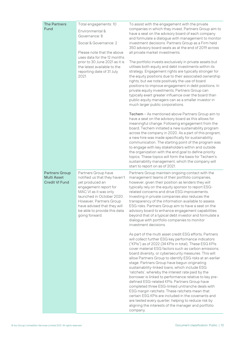| <b>The Partners</b>                                                  | Total engagements: 10                                                                                                                                                                                                                                              | To assist with the engagement with the private                                                                                                                                                                                                                                                                                                                                                                                                                                                                                                                                                                                                                                                                                                                                                                                                                                                               |  |
|----------------------------------------------------------------------|--------------------------------------------------------------------------------------------------------------------------------------------------------------------------------------------------------------------------------------------------------------------|--------------------------------------------------------------------------------------------------------------------------------------------------------------------------------------------------------------------------------------------------------------------------------------------------------------------------------------------------------------------------------------------------------------------------------------------------------------------------------------------------------------------------------------------------------------------------------------------------------------------------------------------------------------------------------------------------------------------------------------------------------------------------------------------------------------------------------------------------------------------------------------------------------------|--|
| Fund                                                                 | Environmental &<br>Governance: 8                                                                                                                                                                                                                                   | companies in which they invest, Partners Group aim to<br>have a seat on the advisory board of each company<br>and formulate a dialogue with management to monitor                                                                                                                                                                                                                                                                                                                                                                                                                                                                                                                                                                                                                                                                                                                                            |  |
|                                                                      | Social & Governance: 2                                                                                                                                                                                                                                             | investment decisions. Partners Group as a Firm held<br>350 advisory board seats as at the end of 2019 across                                                                                                                                                                                                                                                                                                                                                                                                                                                                                                                                                                                                                                                                                                                                                                                                 |  |
|                                                                      | Please note that the above<br>uses data for the 12 months<br>prior to 30 June 2021 as it is                                                                                                                                                                        | all private market investments.                                                                                                                                                                                                                                                                                                                                                                                                                                                                                                                                                                                                                                                                                                                                                                                                                                                                              |  |
|                                                                      | the latest available to the<br>reporting date of 31 July<br>2021.                                                                                                                                                                                                  | The portfolio invests exclusively in private assets but<br>utilises both equity and debt investments within its<br>strategy. Engagement rights are typically stronger for<br>the equity positions due to their associated ownership<br>rights, but we note positively the use of board<br>positions to improve engagement in debt positions. In<br>private equity investments, Partners Group can<br>typically exert greater influence over the board than<br>public equity managers can as a smaller investor in<br>much larger public corporations.                                                                                                                                                                                                                                                                                                                                                        |  |
|                                                                      |                                                                                                                                                                                                                                                                    | Techem - As mentioned above Partners Group aim to<br>have a seat on the advisory board as this allows for<br>meaningful change. Following engagement from the<br>board, Techem initiated a new sustainability program<br>across the company in 2020. As a part of this program,<br>a new hire was made specifically for sustainability<br>communication. The starting point of the program was<br>to engage with key stakeholders within and outside<br>the organization with the end goal to define priority<br>topics. These topics will form the basis for Techem's<br>sustainability management, which the company will<br>start to report on as of 2021.                                                                                                                                                                                                                                                |  |
| <b>Partners Group</b><br><b>Multi Asset</b><br><b>Credit VI Fund</b> | Partners Group have<br>notified us that they haven't<br>yet produced an<br>engagement report for<br>MAC VI as it was only<br>launched in October 2020.<br>However, Partners Group<br>have advised that they will<br>be able to provide this data<br>going forward. | Partners Group maintain ongoing contact with the<br>management teams of their portfolio companies,<br>however, given their position as lenders they will<br>typically rely on the equity sponsor to report ESG-<br>related concerns and drive ESG improvements.<br>Investing in private companies also reduces the<br>transparency of the information available to assess<br>ESG risks. Partners Group aim to have a seat on the<br>advisory board to enhance engagement capabilities<br>beyond that of a typical debt investor and formulate a<br>dialogue with portfolio companies to monitor<br>investment decisions.                                                                                                                                                                                                                                                                                     |  |
|                                                                      |                                                                                                                                                                                                                                                                    | As part of the multi asset credit ESG efforts, Partners<br>will collect further ESG key performance indicators<br>("KPIs") as of 2022 (34 KPIs in total). These ESG KPIs<br>cover material ESG factors such as carbon emissions,<br>board diversity, or cybersecurity measures. This will<br>allow Partners Group to identify ESG risks at an earlier<br>stage. Partners Group have begun originating<br>sustainability-linked loans, which include ESG<br>'ratchets', whereby the interest rate paid by the<br>borrower is linked to performance relative to key pre-<br>defined ESG-related KPIs. Partners Group have<br>completed three ESG-linked unitranche deals with<br>ESG margin ratchets. These ratchets mean that<br>certain ESG KPIs are included in the covenants and<br>are tested every quarter, helping to reduce risk by<br>aligning the interests of the manager and portfolio<br>company. |  |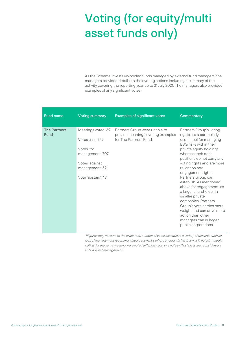# Voting (for equity/multi asset funds only)

As the Scheme invests via pooled funds managed by external fund managers, the managers provided details on their voting actions including a summary of the activity covering the reporting year up to 31 July 2021. The managers also provided examples of any significant votes.

| <b>Fund name</b>            | <b>Voting summary</b>                                                                                                              | <b>Examples of significant votes</b>                                                         | Commentary                                                                                                                                                                                                                                                                                                                                                                                                                                                                                                                                         |
|-----------------------------|------------------------------------------------------------------------------------------------------------------------------------|----------------------------------------------------------------------------------------------|----------------------------------------------------------------------------------------------------------------------------------------------------------------------------------------------------------------------------------------------------------------------------------------------------------------------------------------------------------------------------------------------------------------------------------------------------------------------------------------------------------------------------------------------------|
| <b>The Partners</b><br>Fund | Meetings voted: 69<br>Votes cast: 759<br>Votes 'for'<br>management: 707<br>Votes 'against'<br>management: 52<br>Vote 'abstain': 43 | Partners Group were unable to<br>provide meaningful voting examples<br>for The Partners Fund | Partners Group's voting<br>rights are a particularly<br>useful tool for managing<br>ESG risks within their<br>private equity holdings,<br>whereas their debt<br>positions do not carry any<br>voting rights and are more<br>reliant on any<br>engagement rights<br>Partners Group can<br>establish. As mentioned<br>above for engagement, as<br>a larger shareholder in<br>smaller private<br>companies, Partners<br>Group's vote carries more<br>weight and can drive more<br>action than other<br>managers can in larger<br>public corporations. |

\*Figures may not sum to the exact total number of votes cast due to a variety of reasons, such as lack of management recommendation, scenarios where an agenda has been split voted, multiple ballots for the same meeting were voted differing ways, or a vote of 'Abstain' is also considered a vote against management.